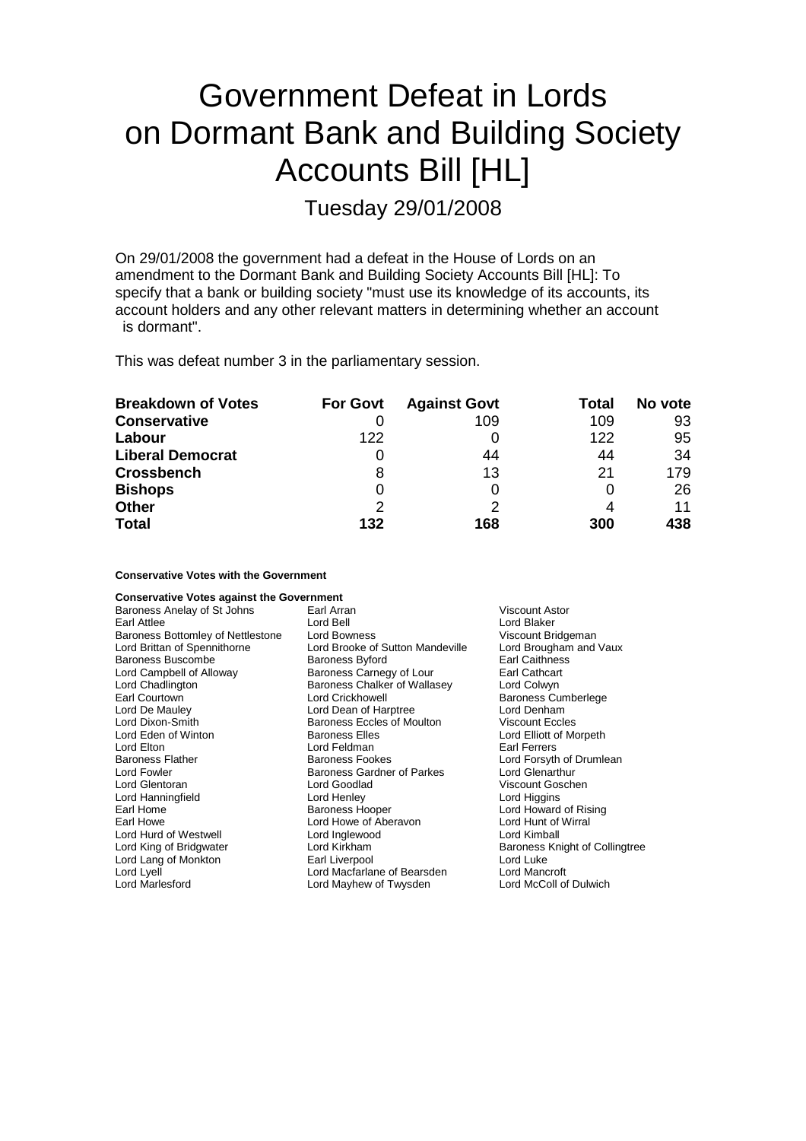# Government Defeat in Lords on Dormant Bank and Building Society Accounts Bill [HL]

Tuesday 29/01/2008

On 29/01/2008 the government had a defeat in the House of Lords on an amendment to the Dormant Bank and Building Society Accounts Bill [HL]: To specify that a bank or building society "must use its knowledge of its accounts, its account holders and any other relevant matters in determining whether an account is dormant".

This was defeat number 3 in the parliamentary session.

| <b>Breakdown of Votes</b> | <b>For Govt</b> | <b>Against Govt</b> | <b>Total</b> | No vote |
|---------------------------|-----------------|---------------------|--------------|---------|
| <b>Conservative</b>       |                 | 109                 | 109          | 93      |
| Labour                    | 122             |                     | 122          | 95      |
| <b>Liberal Democrat</b>   |                 | 44                  | 44           | -34     |
| <b>Crossbench</b>         | 8               | 13                  | 21           | 179     |
| <b>Bishops</b>            | O               | 0                   |              | 26      |
| <b>Other</b>              | 2               | っ                   |              | 11      |
| <b>Total</b>              | 132             | 168                 | 300          | 438     |

**Conservative Votes with the Government**

| <b>Conservative Votes against the Government</b> |                                   |                                |
|--------------------------------------------------|-----------------------------------|--------------------------------|
| Baroness Anelay of St Johns                      | Earl Arran                        | Viscount Astor                 |
| Earl Attlee                                      | Lord Bell                         | Lord Blaker                    |
| Baroness Bottomley of Nettlestone                | Lord Bowness                      | Viscount Bridgeman             |
| Lord Brittan of Spennithorne                     | Lord Brooke of Sutton Mandeville  | Lord Brougham and Vaux         |
| <b>Baroness Buscombe</b>                         | <b>Baroness Byford</b>            | Earl Caithness                 |
| Lord Campbell of Alloway                         | Baroness Carnegy of Lour          | Earl Cathcart                  |
| Lord Chadlington                                 | Baroness Chalker of Wallasey      | Lord Colwyn                    |
| Earl Courtown                                    | Lord Crickhowell                  | <b>Baroness Cumberlege</b>     |
| Lord De Mauley                                   | Lord Dean of Harptree             | Lord Denham                    |
| Lord Dixon-Smith                                 | <b>Baroness Eccles of Moulton</b> | <b>Viscount Eccles</b>         |
| Lord Eden of Winton                              | <b>Baroness Elles</b>             | Lord Elliott of Morpeth        |
| Lord Elton                                       | Lord Feldman                      | Earl Ferrers                   |
| <b>Baroness Flather</b>                          | Baroness Fookes                   | Lord Forsyth of Drumlean       |
| Lord Fowler                                      | <b>Baroness Gardner of Parkes</b> | Lord Glenarthur                |
| Lord Glentoran                                   | Lord Goodlad                      | Viscount Goschen               |
| Lord Hanningfield                                | Lord Henley                       | Lord Higgins                   |
| Earl Home                                        | <b>Baroness Hooper</b>            | Lord Howard of Rising          |
| Earl Howe                                        | Lord Howe of Aberavon             | Lord Hunt of Wirral            |
| Lord Hurd of Westwell                            | Lord Inglewood                    | Lord Kimball                   |
| Lord King of Bridgwater                          | Lord Kirkham                      | Baroness Knight of Collingtree |
| Lord Lang of Monkton                             | Earl Liverpool                    | Lord Luke                      |
| Lord Lyell                                       | Lord Macfarlane of Bearsden       | Lord Mancroft                  |
| <b>Lord Marlesford</b>                           | Lord Mayhew of Twysden            | Lord McColl of Dulwich         |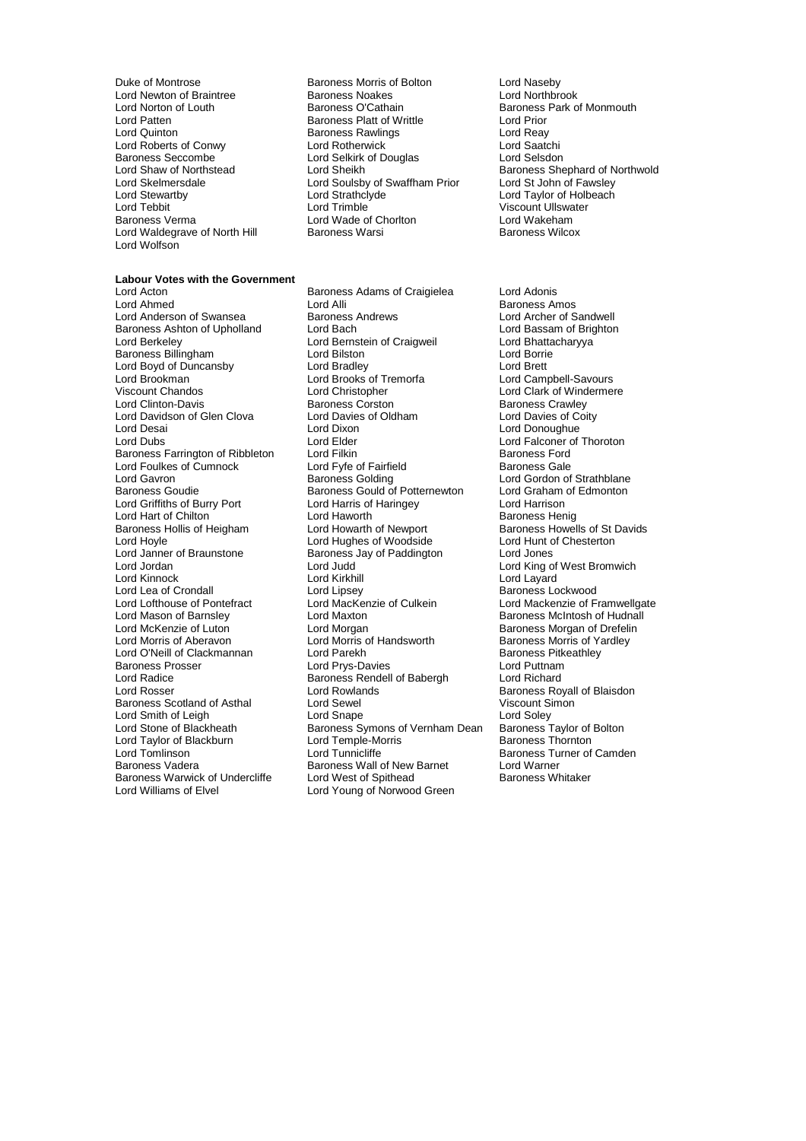Lord Newton of Braintree **Baroness Noakes**<br> **Baroness O'Cathain**<br>
Baroness O'Cathain Baroness Seccombe<br>
Baroness Seccombe<br>
Lord Shaw of Northstead<br>
Lord Sheikh Lord Waldegrave of North Hill Lord Wolfson

Duke of Montrose **Baroness Morris of Bolton** Lord Naseby<br>
Lord Newton of Braintree **Baroness Noakes** Bolton Lord Northbrook Lord Patten Baroness Platt of Writtle Lord Prior Exament Baroness Rawlings<br>
Lord Rotherwick<br>
Lord Saatchi Lord Roberts of Conwy<br>
Lord Rotherwick Lord Saatchi<br>
Lord Selkirk of Douglas<br>
Lord Selsdon<br>
Lord Selsdon Lord Skelmersdale Lord Soulsby of Swaffham Prior<br>
Lord Steathclyde<br>
Lord Strathclyde Lord Tebbit **Lord Trimble** Consumer Consumer Viscount Ullswater<br>
Baroness Verma **Lord Wade of Choriton** Lord Wakeham Baroness Verma Lord Wade of Chorlton Lord Wakeham

**Labour Votes with the Government** Baroness Ashton of Upholland Lord Davidson of Glen Clova Baroness Farrington of Ribbleton Lord Filkin<br>
Lord Foulkes of Cumnock Lord Fyfe of Fairfield Lord Griffiths of Burry Port Lord Lea of Crondall Lord Lipsey<br>
Lord Lofthouse of Pontefract Lord MacKenzie of Culkein Lord Radice **Baroness Rendell of Babergh Lord Rosser**<br>
Lord Rosser **Lord Rowlands** Baroness Scotland of Asthal Baroness Warwick of Undercliffe<br>Lord Williams of Elvel

Lord Acton Baroness Adams of Craigielea Lord Adonis Lord Alli **Lord Alli Baroness Amos**<br>Baroness Andrews **Baroness Amos**<br>Lord Archer of Sandwell Lord Anderson of Swansea Baroness Andrews Lord Archer of Sandwell<br>
Baroness Ashton of Upholland Lord Bach Lord Bassam of Brighton Lord Berkeley **Lord Bernstein of Craigweil** Lord Bhattacharyya<br>
Baroness Billingham **Lord Bhattacharyya**<br>
Lord Bilston Lord Borrie Baroness Billingham Lord Bilston Lord Borrie Lord Boyd of Duncansby Lord Bradley Lord Brett Lord Brookman Lord Brooks of Tremorfa Lord Campbell-Savours Viscount Chandos Lord Christopher Lord Clark of Windermere Lord Clinton-Davis **Baroness Corston**<br>Lord Davidson of Glen Clova **Baroness Corston Baroness Contracts** Lord Davies of Coitv Lord Desai Lord Dixon Lord Donoughue Lord Elder **Lord Elder Lord Elder** Lord Falconer of Thoroton<br>
Baroness Ford Lord Foulkes of Cumnock Lord Fyfe of Fairfield Baroness Gale Lord Gavron **Carolic Communists** Baroness Golding **Lord Gordon of Strathblane**<br>Baroness Goudie **Baroness Gould of Potternewton** Lord Graham of Edmonton Baroness Gould of Potternewton Lord Graham<br>Lord Harris of Haringey Lord Harrison Lord Hart of Chilton **Lord Haworth** Cord Haworth Cord Haworth Baroness Henig<br>Baroness Hollis of Heigham Lord Howarth of Newport Baroness Howel Baroness Hollis of Heigham Lord Howarth of Newport<br>
Lord Hord Howarth of Newport Baroness Howells of St Davids<br>
Lord Hord Homes of Woodside Lord Hunt of Chesterton Lord Hoyle Lord Hughes of Woodside Lord Hunt of Braunstone Lord Hunt Chester Alexander Chester<br>
Lord Janner of Braunstone Baroness Jay of Paddington Lord Jones Baroness Jay of Paddington Lord Jordan Lord Judd Lord Judd Lord Cord Cord King of West Bromwich<br>
Lord Kinnock Lord Kirkhill Lord Clayard Lord Kinnock Lord Kirkhill Lord Layard Lord Lofthouse of Pontefract Lord MacKenzie of Culkein Lord Mackenzie of Framwellgate<br>
Lord Mason of Barnsley Lord Maxton Lord Maxton Baroness McIntosh of Hudnall Lord Mason of Barnsley **Lord Maxton** Lord Maxton **Baroness McIntosh of Hudnall**<br>
Lord McKenzie of Luton **Baroness McClore Lord McClore Corporation** Baroness Morgan of Drefelin Lord Morgan<br>
Lord Morris of Handsworth<br>
Baroness Morris of Yardley Lord Morris of Aberavon Lord Morris of Handsworth Baroness Morris of Yardley Lord O'Neill of Clackmannan Lord Parekh Baroness Pitkeathley<br>
Baroness Prosser Cord Prosser Lord Prys-Davies Cord Puttnam Baroness Prosser Lord Prys-Davies Lord Puttnam Lord Rowlands **Baroness Royall of Blaisdon**<br>
Lord Sewel **Baroness Royall of Blaisdon** Lord Smith of Leigh Lord Soley<br>
Lord Stone of Blackheath Baroness Symons of Vernham Dean Baroness Taylor of Bolton Baroness Symons of Vernham Dean<br>Lord Temple-Morris Lord Taylor of Blackburn Lord Temple-Morris Baroness Thornton Lord Tomlinson **Lord Tunnicliffe** Lord Tunnicliffe **Baroness Turner of Camden**<br>Baroness Vadera **Baroness Wall of New Barnet** Lord Warner Baroness Wall of New Barnet Lord Warner<br>Lord West of Spithead Baroness Whitaker Lord Young of Norwood Green

Baroness Park of Monmouth<br>Lord Prior Lord Shaw of Northstead Lord Sheikh Baroness Shephard of Northwold<br>
Lord Skelmersdale Lord Soulsby of Swaffham Prior Lord St John of Fawsley Lord Taylor of Holbeach